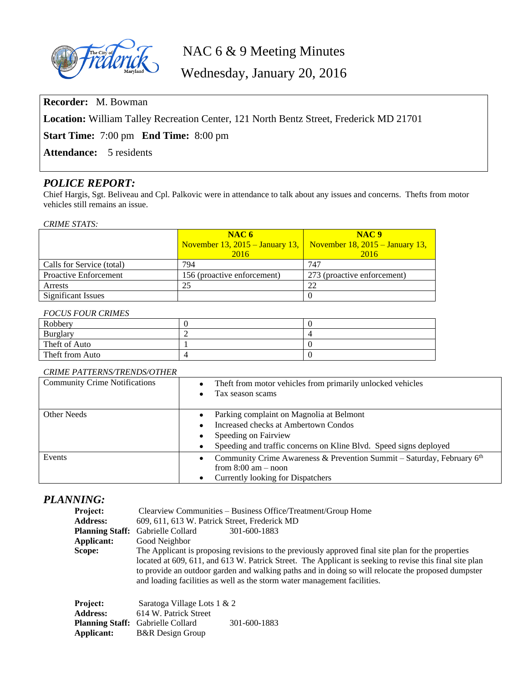

# NAC 6 & 9 Meeting Minutes

Wednesday, January 20, 2016

**Recorder:** M. Bowman

**Location:** William Talley Recreation Center, 121 North Bentz Street, Frederick MD 21701

**Start Time:** 7:00 pm **End Time:** 8:00 pm

Attendance: 5 residents

## *POLICE REPORT:*

Chief Hargis, Sgt. Beliveau and Cpl. Palkovic were in attendance to talk about any issues and concerns. Thefts from motor vehicles still remains an issue.

#### *CRIME STATS:*

|                              | NAC6<br>November 13, 2015 – January 13, November 18, 2015 – January 13, | NAC <sub>9</sub>            |
|------------------------------|-------------------------------------------------------------------------|-----------------------------|
|                              | 2016                                                                    | 2016                        |
| Calls for Service (total)    | 794                                                                     | 747                         |
| <b>Proactive Enforcement</b> | 156 (proactive enforcement)                                             | 273 (proactive enforcement) |
| Arrests                      | 25                                                                      | 22                          |
| <b>Significant Issues</b>    |                                                                         |                             |

#### *FOCUS FOUR CRIMES*

| Robbery         |  |
|-----------------|--|
| <b>Burglary</b> |  |
| Theft of Auto   |  |
| Theft from Auto |  |

### *CRIME PATTERNS/TRENDS/OTHER*

| <b>Community Crime Notifications</b> | Theft from motor vehicles from primarily unlocked vehicles<br>Tax season scams                                                           |
|--------------------------------------|------------------------------------------------------------------------------------------------------------------------------------------|
| Other Needs                          | Parking complaint on Magnolia at Belmont<br>Increased checks at Ambertown Condos<br>Speeding on Fairview                                 |
|                                      | Speeding and traffic concerns on Kline Blvd. Speed signs deployed                                                                        |
| Events                               | Community Crime Awareness & Prevention Summit – Saturday, February $6th$<br>from $8:00$ am $-$ noon<br>Currently looking for Dispatchers |

## *PLANNING:*

| Project:<br><b>Address:</b><br><b>Planning Staff:</b><br>Applicant:<br>Scope: | Clearview Communities – Business Office/Treatment/Group Home<br>609, 611, 613 W. Patrick Street, Frederick MD<br>Gabrielle Collard<br>301-600-1883<br>Good Neighbor<br>The Applicant is proposing revisions to the previously approved final site plan for the properties<br>located at 609, 611, and 613 W. Patrick Street. The Applicant is seeking to revise this final site plan<br>to provide an outdoor garden and walking paths and in doing so will relocate the proposed dumpster<br>and loading facilities as well as the storm water management facilities. |  |
|-------------------------------------------------------------------------------|------------------------------------------------------------------------------------------------------------------------------------------------------------------------------------------------------------------------------------------------------------------------------------------------------------------------------------------------------------------------------------------------------------------------------------------------------------------------------------------------------------------------------------------------------------------------|--|
| Project:                                                                      | Saratoga Village Lots 1 & 2                                                                                                                                                                                                                                                                                                                                                                                                                                                                                                                                            |  |
| <b>Address:</b>                                                               | 614 W. Patrick Street                                                                                                                                                                                                                                                                                                                                                                                                                                                                                                                                                  |  |
|                                                                               | 301-600-1883<br><b>Planning Staff:</b> Gabrielle Collard                                                                                                                                                                                                                                                                                                                                                                                                                                                                                                               |  |
| Applicant:                                                                    | <b>B&amp;R</b> Design Group                                                                                                                                                                                                                                                                                                                                                                                                                                                                                                                                            |  |